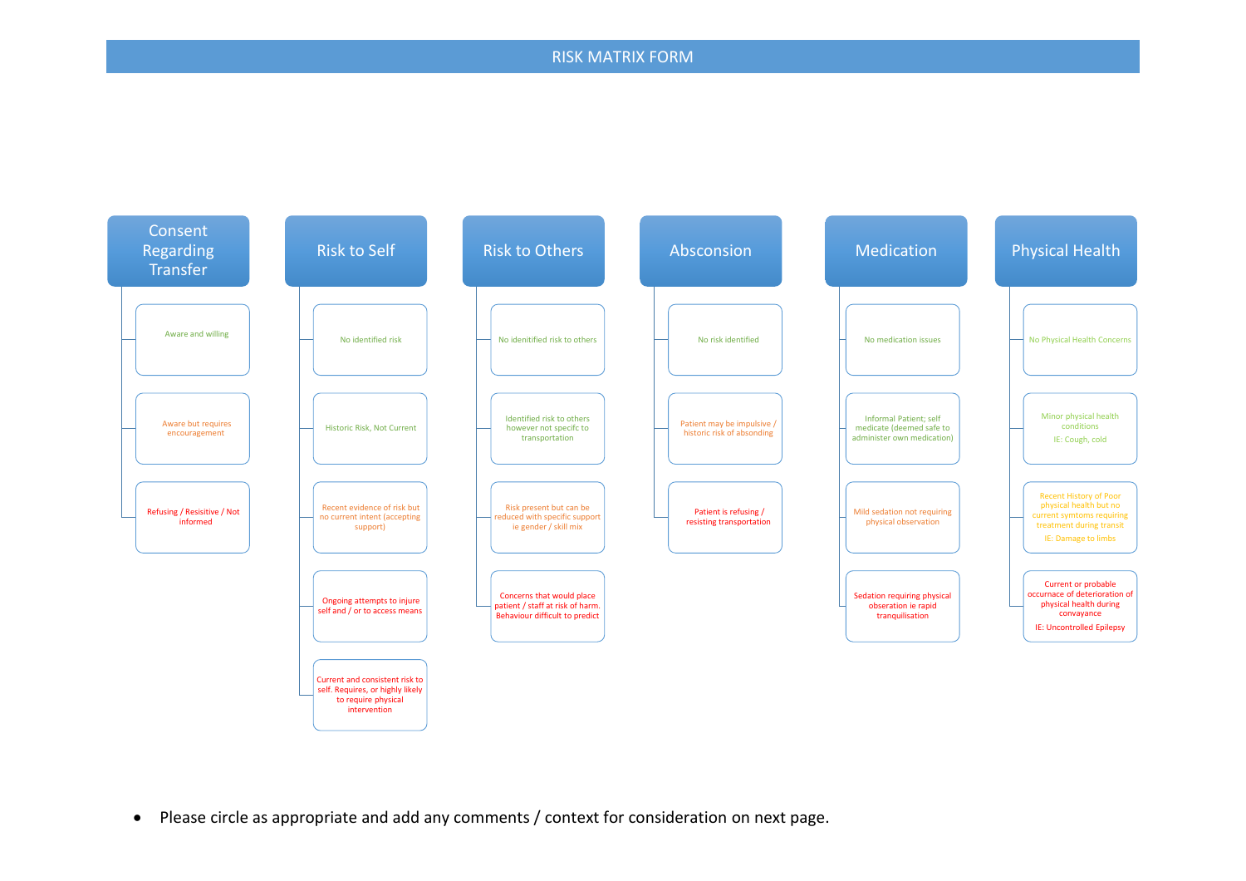## RISK MATRIX FORM



• Please circle as appropriate and add any comments / context for consideration on next page.